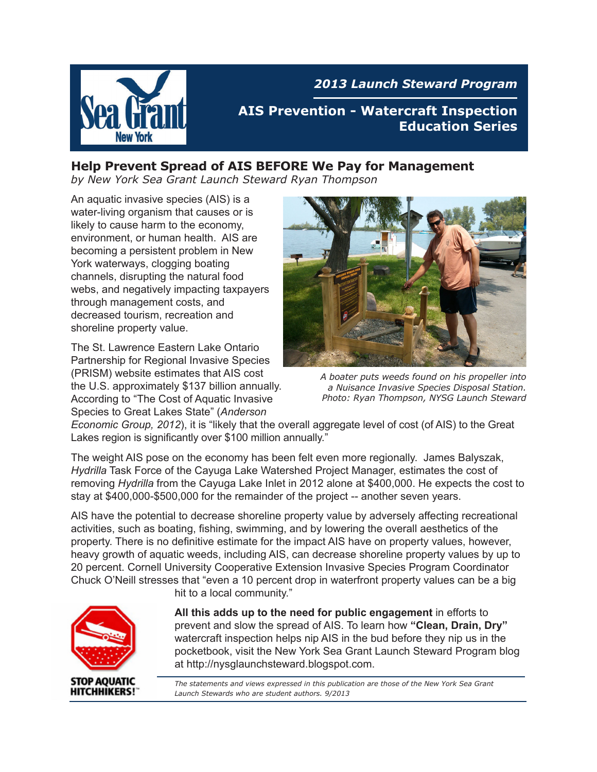

*2013 Launch Steward Program*

**AIS Prevention - Watercraft Inspection Education Series**

### **Help Prevent Spread of AIS BEFORE We Pay for Management**

*by New York Sea Grant Launch Steward Ryan Thompson*

An aquatic invasive species (AIS) is a water-living organism that causes or is likely to cause harm to the economy, environment, or human health. AIS are becoming a persistent problem in New York waterways, clogging boating channels, disrupting the natural food webs, and negatively impacting taxpayers through management costs, and decreased tourism, recreation and shoreline property value.

The St. Lawrence Eastern Lake Ontario Partnership for Regional Invasive Species (PRISM) website estimates that AIS cost the U.S. approximately \$137 billion annually. According to "The Cost of Aquatic Invasive Species to Great Lakes State" (*Anderson* 



*A boater puts weeds found on his propeller into a Nuisance Invasive Species Disposal Station. Photo: Ryan Thompson, NYSG Launch Steward*

*Economic Group, 2012*), it is "likely that the overall aggregate level of cost (of AIS) to the Great Lakes region is significantly over \$100 million annually."

The weight AIS pose on the economy has been felt even more regionally. James Balyszak, *Hydrilla* Task Force of the Cayuga Lake Watershed Project Manager, estimates the cost of removing *Hydrilla* from the Cayuga Lake Inlet in 2012 alone at \$400,000. He expects the cost to stay at \$400,000-\$500,000 for the remainder of the project -- another seven years.

AIS have the potential to decrease shoreline property value by adversely affecting recreational activities, such as boating, fishing, swimming, and by lowering the overall aesthetics of the property. There is no definitive estimate for the impact AIS have on property values, however, heavy growth of aquatic weeds, including AIS, can decrease shoreline property values by up to 20 percent. Cornell University Cooperative Extension Invasive Species Program Coordinator Chuck O'Neill stresses that "even a 10 percent drop in waterfront property values can be a big



hit to a local community."

**All this adds up to the need for public engagement** in efforts to prevent and slow the spread of AIS. To learn how **"Clean, Drain, Dry"** watercraft inspection helps nip AIS in the bud before they nip us in the pocketbook, visit the New York Sea Grant Launch Steward Program blog at http://nysglaunchsteward.blogspot.com.

*The statements and views expressed in this publication are those of the New York Sea Grant Launch Stewards who are student authors. 9/2013*